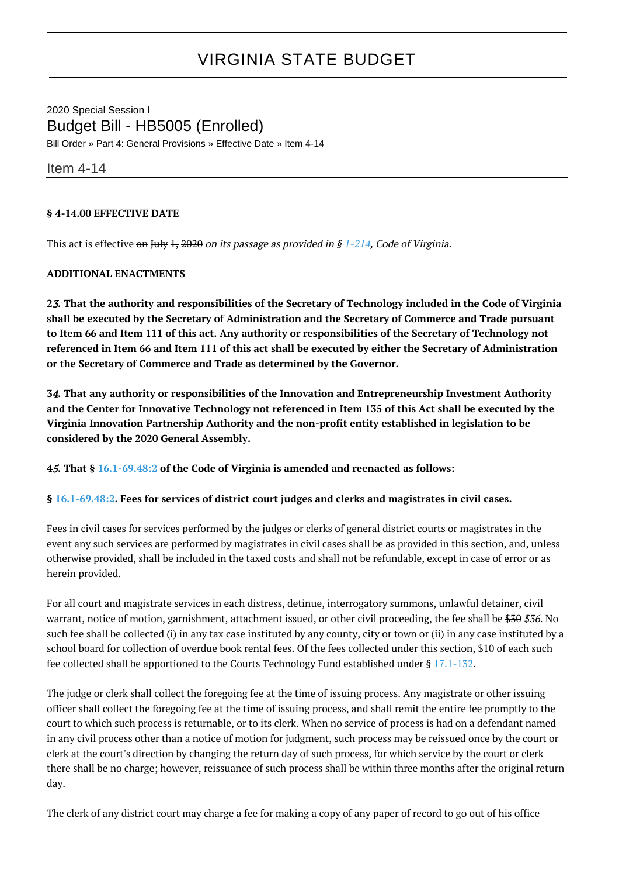## VIRGINIA STATE BUDGET

2020 Special Session I Budget Bill - HB5005 (Enrolled) Bill Order » Part 4: General Provisions » Effective Date » Item 4-14

Item 4-14

## **§ 4-14.00 EFFECTIVE DATE**

This act is effective on July 1, 2020 on its passage as provided in § [1-214,](http://law.lis.virginia.gov/vacode/1-214/) Code of Virginia.

## **ADDITIONAL ENACTMENTS**

**2**3**. That the authority and responsibilities of the Secretary of Technology included in the Code of Virginia shall be executed by the Secretary of Administration and the Secretary of Commerce and Trade pursuant to Item 66 and Item 111 of this act. Any authority or responsibilities of the Secretary of Technology not referenced in Item 66 and Item 111 of this act shall be executed by either the Secretary of Administration or the Secretary of Commerce and Trade as determined by the Governor.**

**3**4**. That any authority or responsibilities of the Innovation and Entrepreneurship Investment Authority and the Center for Innovative Technology not referenced in Item 135 of this Act shall be executed by the Virginia Innovation Partnership Authority and the non-profit entity established in legislation to be considered by the 2020 General Assembly.**

**4**5**. That § [16.1-69.48:2](http://law.lis.virginia.gov/vacode/16.1-69.48:2/) of the Code of Virginia is amended and reenacted as follows:**

## **§ [16.1-69.48:2](http://law.lis.virginia.gov/vacode/16.1-69.48:2/). Fees for services of district court judges and clerks and magistrates in civil cases.**

Fees in civil cases for services performed by the judges or clerks of general district courts or magistrates in the event any such services are performed by magistrates in civil cases shall be as provided in this section, and, unless otherwise provided, shall be included in the taxed costs and shall not be refundable, except in case of error or as herein provided.

For all court and magistrate services in each distress, detinue, interrogatory summons, unlawful detainer, civil warrant, notice of motion, garnishment, attachment issued, or other civil proceeding, the fee shall be \$30 \$36. No such fee shall be collected (i) in any tax case instituted by any county, city or town or (ii) in any case instituted by a school board for collection of overdue book rental fees. Of the fees collected under this section, \$10 of each such fee collected shall be apportioned to the Courts Technology Fund established under § [17.1-132.](http://law.lis.virginia.gov/vacode/17.1-132/)

The judge or clerk shall collect the foregoing fee at the time of issuing process. Any magistrate or other issuing officer shall collect the foregoing fee at the time of issuing process, and shall remit the entire fee promptly to the court to which such process is returnable, or to its clerk. When no service of process is had on a defendant named in any civil process other than a notice of motion for judgment, such process may be reissued once by the court or clerk at the court's direction by changing the return day of such process, for which service by the court or clerk there shall be no charge; however, reissuance of such process shall be within three months after the original return day.

The clerk of any district court may charge a fee for making a copy of any paper of record to go out of his office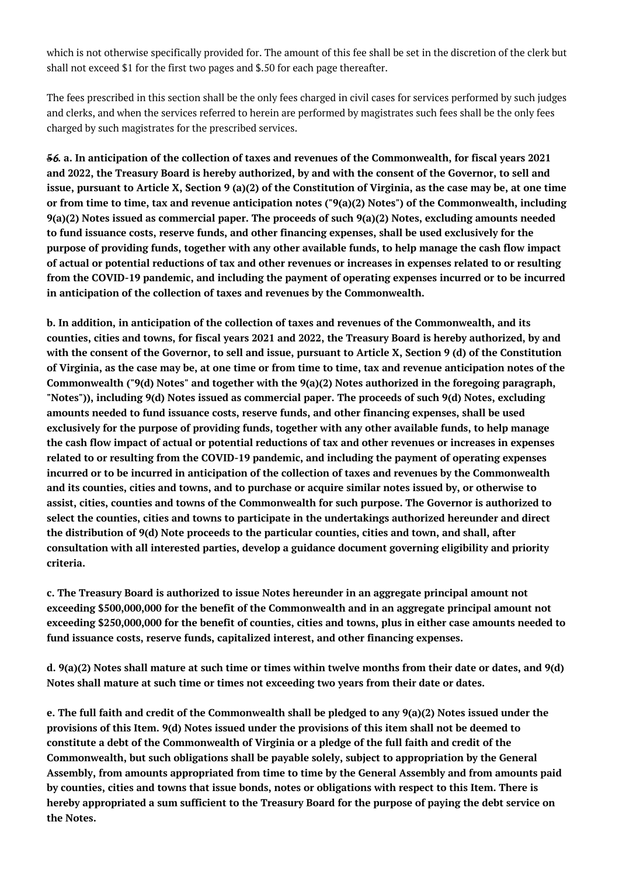which is not otherwise specifically provided for. The amount of this fee shall be set in the discretion of the clerk but shall not exceed \$1 for the first two pages and \$.50 for each page thereafter.

The fees prescribed in this section shall be the only fees charged in civil cases for services performed by such judges and clerks, and when the services referred to herein are performed by magistrates such fees shall be the only fees charged by such magistrates for the prescribed services.

**5**6**. a. In anticipation of the collection of taxes and revenues of the Commonwealth, for fiscal years 2021 and 2022, the Treasury Board is hereby authorized, by and with the consent of the Governor, to sell and issue, pursuant to Article X, Section 9 (a)(2) of the Constitution of Virginia, as the case may be, at one time or from time to time, tax and revenue anticipation notes ("9(a)(2) Notes") of the Commonwealth, including 9(a)(2) Notes issued as commercial paper. The proceeds of such 9(a)(2) Notes, excluding amounts needed to fund issuance costs, reserve funds, and other financing expenses, shall be used exclusively for the purpose of providing funds, together with any other available funds, to help manage the cash flow impact of actual or potential reductions of tax and other revenues or increases in expenses related to or resulting from the COVID-19 pandemic, and including the payment of operating expenses incurred or to be incurred in anticipation of the collection of taxes and revenues by the Commonwealth.**

**b. In addition, in anticipation of the collection of taxes and revenues of the Commonwealth, and its counties, cities and towns, for fiscal years 2021 and 2022, the Treasury Board is hereby authorized, by and with the consent of the Governor, to sell and issue, pursuant to Article X, Section 9 (d) of the Constitution of Virginia, as the case may be, at one time or from time to time, tax and revenue anticipation notes of the Commonwealth ("9(d) Notes" and together with the 9(a)(2) Notes authorized in the foregoing paragraph, "Notes")), including 9(d) Notes issued as commercial paper. The proceeds of such 9(d) Notes, excluding amounts needed to fund issuance costs, reserve funds, and other financing expenses, shall be used exclusively for the purpose of providing funds, together with any other available funds, to help manage the cash flow impact of actual or potential reductions of tax and other revenues or increases in expenses related to or resulting from the COVID-19 pandemic, and including the payment of operating expenses incurred or to be incurred in anticipation of the collection of taxes and revenues by the Commonwealth and its counties, cities and towns, and to purchase or acquire similar notes issued by, or otherwise to assist, cities, counties and towns of the Commonwealth for such purpose. The Governor is authorized to select the counties, cities and towns to participate in the undertakings authorized hereunder and direct the distribution of 9(d) Note proceeds to the particular counties, cities and town, and shall, after consultation with all interested parties, develop a guidance document governing eligibility and priority criteria.**

**c. The Treasury Board is authorized to issue Notes hereunder in an aggregate principal amount not exceeding \$500,000,000 for the benefit of the Commonwealth and in an aggregate principal amount not exceeding \$250,000,000 for the benefit of counties, cities and towns, plus in either case amounts needed to fund issuance costs, reserve funds, capitalized interest, and other financing expenses.**

**d. 9(a)(2) Notes shall mature at such time or times within twelve months from their date or dates, and 9(d) Notes shall mature at such time or times not exceeding two years from their date or dates.**

**e. The full faith and credit of the Commonwealth shall be pledged to any 9(a)(2) Notes issued under the provisions of this Item. 9(d) Notes issued under the provisions of this item shall not be deemed to constitute a debt of the Commonwealth of Virginia or a pledge of the full faith and credit of the Commonwealth, but such obligations shall be payable solely, subject to appropriation by the General Assembly, from amounts appropriated from time to time by the General Assembly and from amounts paid by counties, cities and towns that issue bonds, notes or obligations with respect to this Item. There is hereby appropriated a sum sufficient to the Treasury Board for the purpose of paying the debt service on the Notes.**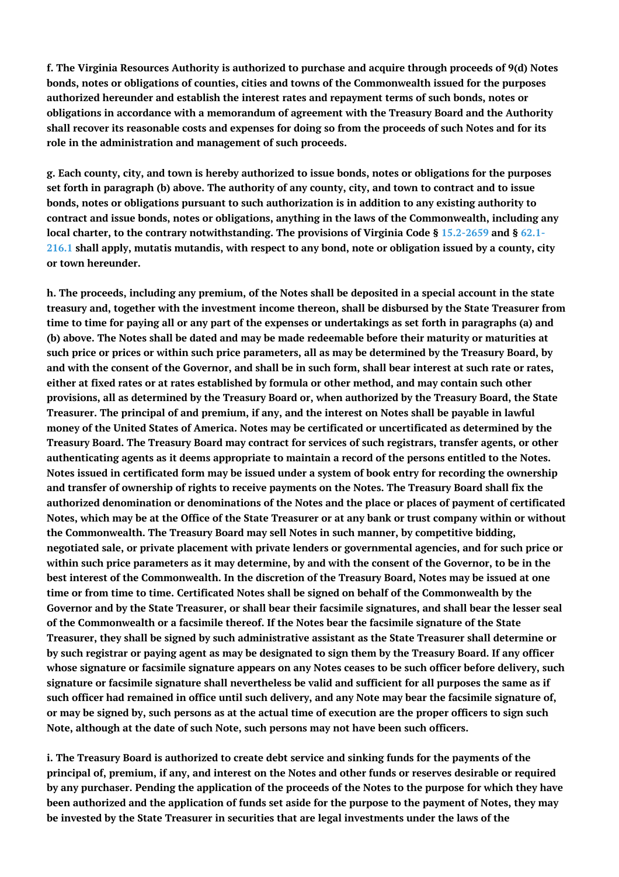**f. The Virginia Resources Authority is authorized to purchase and acquire through proceeds of 9(d) Notes bonds, notes or obligations of counties, cities and towns of the Commonwealth issued for the purposes authorized hereunder and establish the interest rates and repayment terms of such bonds, notes or obligations in accordance with a memorandum of agreement with the Treasury Board and the Authority shall recover its reasonable costs and expenses for doing so from the proceeds of such Notes and for its role in the administration and management of such proceeds.**

**g. Each county, city, and town is hereby authorized to issue bonds, notes or obligations for the purposes set forth in paragraph (b) above. The authority of any county, city, and town to contract and to issue bonds, notes or obligations pursuant to such authorization is in addition to any existing authority to contract and issue bonds, notes or obligations, anything in the laws of the Commonwealth, including any local charter, to the contrary notwithstanding. The provisions of Virginia Code § [15.2-2659](http://law.lis.virginia.gov/vacode/15.2-2659/) and § [62.1-](http://law.lis.virginia.gov/vacode/62.1-216.1/) [216.1](http://law.lis.virginia.gov/vacode/62.1-216.1/) shall apply, mutatis mutandis, with respect to any bond, note or obligation issued by a county, city or town hereunder.**

**h. The proceeds, including any premium, of the Notes shall be deposited in a special account in the state treasury and, together with the investment income thereon, shall be disbursed by the State Treasurer from time to time for paying all or any part of the expenses or undertakings as set forth in paragraphs (a) and (b) above. The Notes shall be dated and may be made redeemable before their maturity or maturities at such price or prices or within such price parameters, all as may be determined by the Treasury Board, by and with the consent of the Governor, and shall be in such form, shall bear interest at such rate or rates, either at fixed rates or at rates established by formula or other method, and may contain such other provisions, all as determined by the Treasury Board or, when authorized by the Treasury Board, the State Treasurer. The principal of and premium, if any, and the interest on Notes shall be payable in lawful money of the United States of America. Notes may be certificated or uncertificated as determined by the Treasury Board. The Treasury Board may contract for services of such registrars, transfer agents, or other authenticating agents as it deems appropriate to maintain a record of the persons entitled to the Notes. Notes issued in certificated form may be issued under a system of book entry for recording the ownership and transfer of ownership of rights to receive payments on the Notes. The Treasury Board shall fix the authorized denomination or denominations of the Notes and the place or places of payment of certificated Notes, which may be at the Office of the State Treasurer or at any bank or trust company within or without the Commonwealth. The Treasury Board may sell Notes in such manner, by competitive bidding, negotiated sale, or private placement with private lenders or governmental agencies, and for such price or within such price parameters as it may determine, by and with the consent of the Governor, to be in the best interest of the Commonwealth. In the discretion of the Treasury Board, Notes may be issued at one time or from time to time. Certificated Notes shall be signed on behalf of the Commonwealth by the Governor and by the State Treasurer, or shall bear their facsimile signatures, and shall bear the lesser seal of the Commonwealth or a facsimile thereof. If the Notes bear the facsimile signature of the State Treasurer, they shall be signed by such administrative assistant as the State Treasurer shall determine or by such registrar or paying agent as may be designated to sign them by the Treasury Board. If any officer whose signature or facsimile signature appears on any Notes ceases to be such officer before delivery, such signature or facsimile signature shall nevertheless be valid and sufficient for all purposes the same as if such officer had remained in office until such delivery, and any Note may bear the facsimile signature of, or may be signed by, such persons as at the actual time of execution are the proper officers to sign such Note, although at the date of such Note, such persons may not have been such officers.**

**i. The Treasury Board is authorized to create debt service and sinking funds for the payments of the principal of, premium, if any, and interest on the Notes and other funds or reserves desirable or required by any purchaser. Pending the application of the proceeds of the Notes to the purpose for which they have been authorized and the application of funds set aside for the purpose to the payment of Notes, they may be invested by the State Treasurer in securities that are legal investments under the laws of the**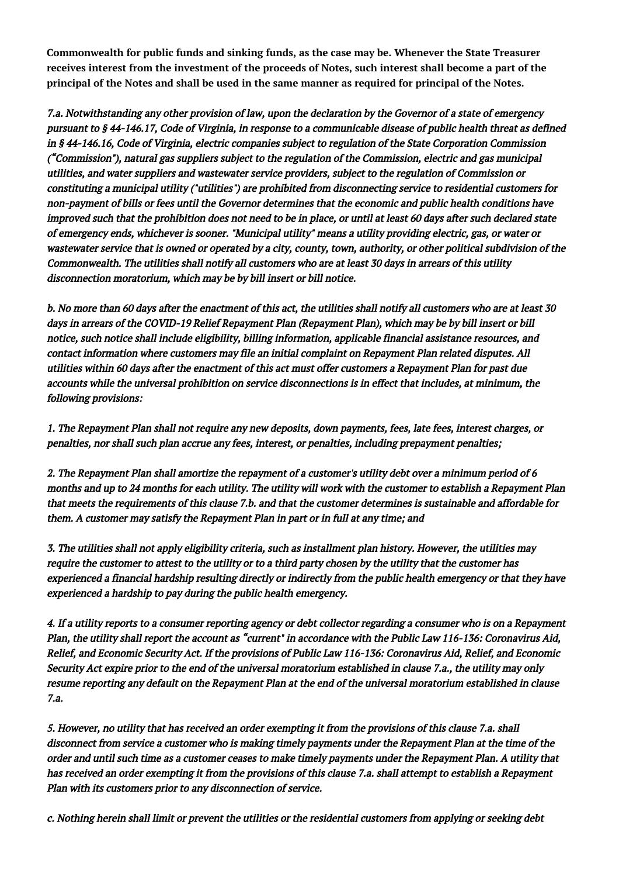**Commonwealth for public funds and sinking funds, as the case may be. Whenever the State Treasurer receives interest from the investment of the proceeds of Notes, such interest shall become a part of the principal of the Notes and shall be used in the same manner as required for principal of the Notes.**

7.a. Notwithstanding any other provision of law, upon the declaration by the Governor of a state of emergency pursuant to § 44-146.17, Code of Virginia, in response to a communicable disease of public health threat as defined in § 44-146.16, Code of Virginia, electric companies subject to regulation of the State Corporation Commission ("Commission"), natural gas suppliers subject to the regulation of the Commission, electric and gas municipal utilities, and water suppliers and wastewater service providers, subject to the regulation of Commission or constituting a municipal utility ("utilities") are prohibited from disconnecting service to residential customers for non-payment of bills or fees until the Governor determines that the economic and public health conditions have improved such that the prohibition does not need to be in place, or until at least 60 days after such declared state of emergency ends, whichever is sooner. "Municipal utility" means a utility providing electric, gas, or water or wastewater service that is owned or operated by a city, county, town, authority, or other political subdivision of the Commonwealth. The utilities shall notify all customers who are at least 30 days in arrears of this utility disconnection moratorium, which may be by bill insert or bill notice.

b. No more than 60 days after the enactment of this act, the utilities shall notify all customers who are at least 30 days in arrears of the COVID-19 Relief Repayment Plan (Repayment Plan), which may be by bill insert or bill notice, such notice shall include eligibility, billing information, applicable financial assistance resources, and contact information where customers may file an initial complaint on Repayment Plan related disputes. All utilities within 60 days after the enactment of this act must offer customers a Repayment Plan for past due accounts while the universal prohibition on service disconnections is in effect that includes, at minimum, the following provisions:

1. The Repayment Plan shall not require any new deposits, down payments, fees, late fees, interest charges, or penalties, nor shall such plan accrue any fees, interest, or penalties, including prepayment penalties;

2. The Repayment Plan shall amortize the repayment of a customer's utility debt over a minimum period of 6 months and up to 24 months for each utility. The utility will work with the customer to establish a Repayment Plan that meets the requirements of this clause 7.b. and that the customer determines is sustainable and affordable for them. A customer may satisfy the Repayment Plan in part or in full at any time; and

3. The utilities shall not apply eligibility criteria, such as installment plan history. However, the utilities may require the customer to attest to the utility or to a third party chosen by the utility that the customer has experienced a financial hardship resulting directly or indirectly from the public health emergency or that they have experienced a hardship to pay during the public health emergency.

4. If a utility reports to a consumer reporting agency or debt collector regarding a consumer who is on a Repayment Plan, the utility shall report the account as "current" in accordance with the Public Law 116-136: Coronavirus Aid, Relief, and Economic Security Act. If the provisions of Public Law 116-136: Coronavirus Aid, Relief, and Economic Security Act expire prior to the end of the universal moratorium established in clause 7.a., the utility may only resume reporting any default on the Repayment Plan at the end of the universal moratorium established in clause 7.a.

5. However, no utility that has received an order exempting it from the provisions of this clause 7.a. shall disconnect from service a customer who is making timely payments under the Repayment Plan at the time of the order and until such time as a customer ceases to make timely payments under the Repayment Plan. A utility that has received an order exempting it from the provisions of this clause 7.a. shall attempt to establish a Repayment Plan with its customers prior to any disconnection of service.

c. Nothing herein shall limit or prevent the utilities or the residential customers from applying or seeking debt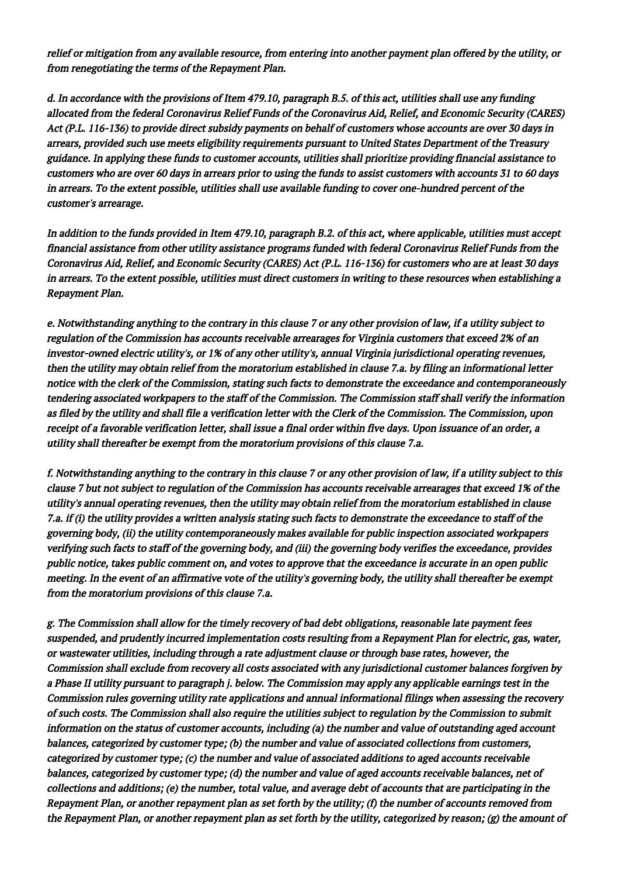relief or mitigation from any available resource, from entering into another payment plan offered by the utility, or from renegotiating the terms of the Repayment Plan.

d. In accordance with the provisions of Item 479.10, paragraph B.5. of this act, utilities shall use any funding allocated from the federal Coronavirus Relief Funds of the Coronavirus Aid, Relief, and Economic Security (CARES) Act (P.L. 116-136) to provide direct subsidy payments on behalf of customers whose accounts are over 30 days in arrears, provided such use meets eligibility requirements pursuant to United States Department of the Treasury guidance. In applying these funds to customer accounts, utilities shall prioritize providing financial assistance to customers who are over 60 days in arrears prior to using the funds to assist customers with accounts 31 to 60 days in arrears. To the extent possible, utilities shall use available funding to cover one-hundred percent of the customer's arrearage.

In addition to the funds provided in Item 479.10, paragraph B.2. of this act, where applicable, utilities must accept financial assistance from other utility assistance programs funded with federal Coronavirus Relief Funds from the Coronavirus Aid, Relief, and Economic Security (CARES) Act (P.L. 116-136) for customers who are at least 30 days in arrears. To the extent possible, utilities must direct customers in writing to these resources when establishing a Repayment Plan.

e. Notwithstanding anything to the contrary in this clause 7 or any other provision of law, if a utility subject to regulation of the Commission has accounts receivable arrearages for Virginia customers that exceed 2% of an investor-owned electric utility's, or 1% of any other utility's, annual Virginia jurisdictional operating revenues, then the utility may obtain relief from the moratorium established in clause 7.a. by filing an informational letter notice with the clerk of the Commission, stating such facts to demonstrate the exceedance and contemporaneously tendering associated workpapers to the staff of the Commission. The Commission staff shall verify the information as filed by the utility and shall file a verification letter with the Clerk of the Commission. The Commission, upon receipt of a favorable verification letter, shall issue a final order within five days. Upon issuance of an order, a utility shall thereafter be exempt from the moratorium provisions of this clause 7.a.

f. Notwithstanding anything to the contrary in this clause 7 or any other provision of law, if a utility subject to this clause 7 but not subject to regulation of the Commission has accounts receivable arrearages that exceed 1% of the utility's annual operating revenues, then the utility may obtain relief from the moratorium established in clause 7.a. if (i) the utility provides a written analysis stating such facts to demonstrate the exceedance to staff of the governing body, (ii) the utility contemporaneously makes available for public inspection associated workpapers verifying such facts to staff of the governing body, and (iii) the governing body verifies the exceedance, provides public notice, takes public comment on, and votes to approve that the exceedance is accurate in an open public meeting. In the event of an affirmative vote of the utility's governing body, the utility shall thereafter be exempt from the moratorium provisions of this clause 7.a.

g. The Commission shall allow for the timely recovery of bad debt obligations, reasonable late payment fees suspended, and prudently incurred implementation costs resulting from a Repayment Plan for electric, gas, water, or wastewater utilities, including through a rate adjustment clause or through base rates, however, the Commission shall exclude from recovery all costs associated with any jurisdictional customer balances forgiven by a Phase II utility pursuant to paragraph j. below. The Commission may apply any applicable earnings test in the Commission rules governing utility rate applications and annual informational filings when assessing the recovery of such costs. The Commission shall also require the utilities subject to regulation by the Commission to submit information on the status of customer accounts, including (a) the number and value of outstanding aged account balances, categorized by customer type; (b) the number and value of associated collections from customers, categorized by customer type; (c) the number and value of associated additions to aged accounts receivable balances, categorized by customer type; (d) the number and value of aged accounts receivable balances, net of collections and additions; (e) the number, total value, and average debt of accounts that are participating in the Repayment Plan, or another repayment plan as set forth by the utility; (f) the number of accounts removed from the Repayment Plan, or another repayment plan as set forth by the utility, categorized by reason; (g) the amount of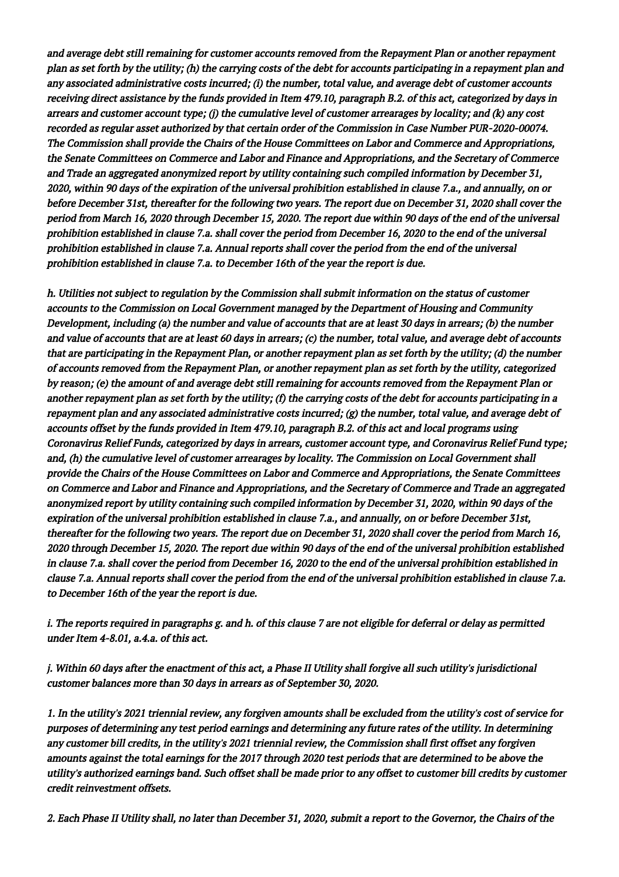and average debt still remaining for customer accounts removed from the Repayment Plan or another repayment plan as set forth by the utility; (h) the carrying costs of the debt for accounts participating in a repayment plan and any associated administrative costs incurred; (i) the number, total value, and average debt of customer accounts receiving direct assistance by the funds provided in Item 479.10, paragraph B.2. of this act, categorized by days in arrears and customer account type; (j) the cumulative level of customer arrearages by locality; and (k) any cost recorded as regular asset authorized by that certain order of the Commission in Case Number PUR-2020-00074. The Commission shall provide the Chairs of the House Committees on Labor and Commerce and Appropriations, the Senate Committees on Commerce and Labor and Finance and Appropriations, and the Secretary of Commerce and Trade an aggregated anonymized report by utility containing such compiled information by December 31, 2020, within 90 days of the expiration of the universal prohibition established in clause 7.a., and annually, on or before December 31st, thereafter for the following two years. The report due on December 31, 2020 shall cover the period from March 16, 2020 through December 15, 2020. The report due within 90 days of the end of the universal prohibition established in clause 7.a. shall cover the period from December 16, 2020 to the end of the universal prohibition established in clause 7.a. Annual reports shall cover the period from the end of the universal prohibition established in clause 7.a. to December 16th of the year the report is due.

h. Utilities not subject to regulation by the Commission shall submit information on the status of customer accounts to the Commission on Local Government managed by the Department of Housing and Community Development, including (a) the number and value of accounts that are at least 30 days in arrears; (b) the number and value of accounts that are at least 60 days in arrears; (c) the number, total value, and average debt of accounts that are participating in the Repayment Plan, or another repayment plan as set forth by the utility; (d) the number of accounts removed from the Repayment Plan, or another repayment plan as set forth by the utility, categorized by reason; (e) the amount of and average debt still remaining for accounts removed from the Repayment Plan or another repayment plan as set forth by the utility; (f) the carrying costs of the debt for accounts participating in a repayment plan and any associated administrative costs incurred;  $(g)$  the number, total value, and average debt of accounts offset by the funds provided in Item 479.10, paragraph B.2. of this act and local programs using Coronavirus Relief Funds, categorized by days in arrears, customer account type, and Coronavirus Relief Fund type; and, (h) the cumulative level of customer arrearages by locality. The Commission on Local Government shall provide the Chairs of the House Committees on Labor and Commerce and Appropriations, the Senate Committees on Commerce and Labor and Finance and Appropriations, and the Secretary of Commerce and Trade an aggregated anonymized report by utility containing such compiled information by December 31, 2020, within 90 days of the expiration of the universal prohibition established in clause 7.a., and annually, on or before December 31st, thereafter for the following two years. The report due on December 31, 2020 shall cover the period from March 16, 2020 through December 15, 2020. The report due within 90 days of the end of the universal prohibition established in clause 7.a. shall cover the period from December 16, 2020 to the end of the universal prohibition established in clause 7.a. Annual reports shall cover the period from the end of the universal prohibition established in clause 7.a. to December 16th of the year the report is due.

i. The reports required in paragraphs g. and h. of this clause 7 are not eligible for deferral or delay as permitted under Item 4-8.01, a.4.a. of this act.

j. Within 60 days after the enactment of this act, a Phase II Utility shall forgive all such utility's jurisdictional customer balances more than 30 days in arrears as of September 30, 2020.

1. In the utility's 2021 triennial review, any forgiven amounts shall be excluded from the utility's cost of service for purposes of determining any test period earnings and determining any future rates of the utility. In determining any customer bill credits, in the utility's 2021 triennial review, the Commission shall first offset any forgiven amounts against the total earnings for the 2017 through 2020 test periods that are determined to be above the utility's authorized earnings band. Such offset shall be made prior to any offset to customer bill credits by customer credit reinvestment offsets.

2. Each Phase II Utility shall, no later than December 31, 2020, submit a report to the Governor, the Chairs of the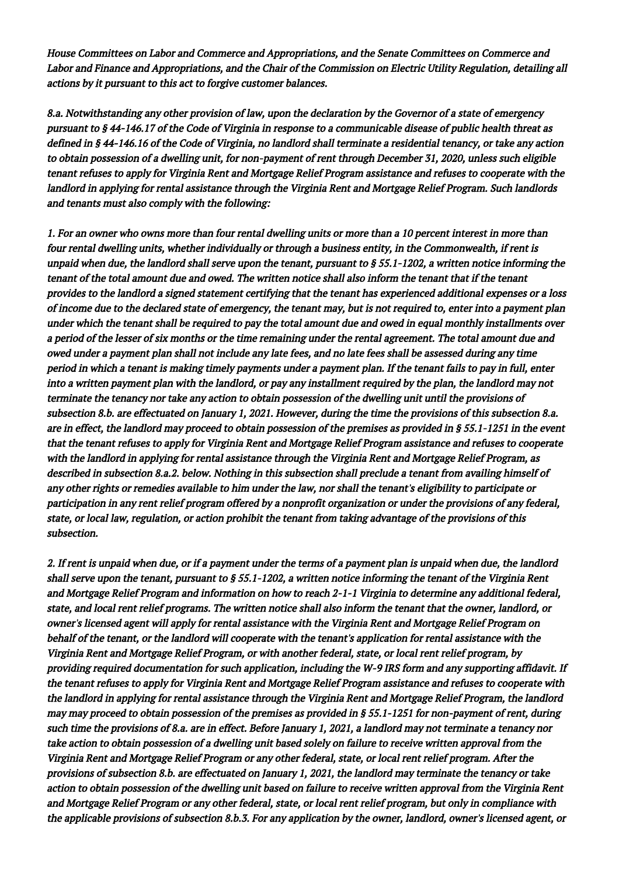House Committees on Labor and Commerce and Appropriations, and the Senate Committees on Commerce and Labor and Finance and Appropriations, and the Chair of the Commission on Electric Utility Regulation, detailing all actions by it pursuant to this act to forgive customer balances.

8.a. Notwithstanding any other provision of law, upon the declaration by the Governor of a state of emergency pursuant to § 44-146.17 of the Code of Virginia in response to a communicable disease of public health threat as defined in § 44-146.16 of the Code of Virginia, no landlord shall terminate a residential tenancy, or take any action to obtain possession of a dwelling unit, for non-payment of rent through December 31, 2020, unless such eligible tenant refuses to apply for Virginia Rent and Mortgage Relief Program assistance and refuses to cooperate with the landlord in applying for rental assistance through the Virginia Rent and Mortgage Relief Program. Such landlords and tenants must also comply with the following:

1. For an owner who owns more than four rental dwelling units or more than a 10 percent interest in more than four rental dwelling units, whether individually or through a business entity, in the Commonwealth, if rent is unpaid when due, the landlord shall serve upon the tenant, pursuant to  $\S 55.1$ -1202, a written notice informing the tenant of the total amount due and owed. The written notice shall also inform the tenant that if the tenant provides to the landlord a signed statement certifying that the tenant has experienced additional expenses or a loss of income due to the declared state of emergency, the tenant may, but is not required to, enter into a payment plan under which the tenant shall be required to pay the total amount due and owed in equal monthly installments over a period of the lesser of six months or the time remaining under the rental agreement. The total amount due and owed under a payment plan shall not include any late fees, and no late fees shall be assessed during any time period in which a tenant is making timely payments under a payment plan. If the tenant fails to pay in full, enter into a written payment plan with the landlord, or pay any installment required by the plan, the landlord may not terminate the tenancy nor take any action to obtain possession of the dwelling unit until the provisions of subsection 8.b. are effectuated on January 1, 2021. However, during the time the provisions of this subsection 8.a. are in effect, the landlord may proceed to obtain possession of the premises as provided in § 55.1-1251 in the event that the tenant refuses to apply for Virginia Rent and Mortgage Relief Program assistance and refuses to cooperate with the landlord in applying for rental assistance through the Virginia Rent and Mortgage Relief Program, as described in subsection 8.a.2. below. Nothing in this subsection shall preclude a tenant from availing himself of any other rights or remedies available to him under the law, nor shall the tenant's eligibility to participate or participation in any rent relief program offered by a nonprofit organization or under the provisions of any federal, state, or local law, regulation, or action prohibit the tenant from taking advantage of the provisions of this subsection.

2. If rent is unpaid when due, or if a payment under the terms of a payment plan is unpaid when due, the landlord shall serve upon the tenant, pursuant to  $\S 55.1$ -1202, a written notice informing the tenant of the Virginia Rent and Mortgage Relief Program and information on how to reach 2-1-1 Virginia to determine any additional federal, state, and local rent relief programs. The written notice shall also inform the tenant that the owner, landlord, or owner's licensed agent will apply for rental assistance with the Virginia Rent and Mortgage Relief Program on behalf of the tenant, or the landlord will cooperate with the tenant's application for rental assistance with the Virginia Rent and Mortgage Relief Program, or with another federal, state, or local rent relief program, by providing required documentation for such application, including the W-9 IRS form and any supporting affidavit. If the tenant refuses to apply for Virginia Rent and Mortgage Relief Program assistance and refuses to cooperate with the landlord in applying for rental assistance through the Virginia Rent and Mortgage Relief Program, the landlord may may proceed to obtain possession of the premises as provided in § 55.1-1251 for non-payment of rent, during such time the provisions of 8.a. are in effect. Before January 1, 2021, a landlord may not terminate a tenancy nor take action to obtain possession of a dwelling unit based solely on failure to receive written approval from the Virginia Rent and Mortgage Relief Program or any other federal, state, or local rent relief program. After the provisions of subsection 8.b. are effectuated on January 1, 2021, the landlord may terminate the tenancy or take action to obtain possession of the dwelling unit based on failure to receive written approval from the Virginia Rent and Mortgage Relief Program or any other federal, state, or local rent relief program, but only in compliance with the applicable provisions of subsection 8.b.3. For any application by the owner, landlord, owner's licensed agent, or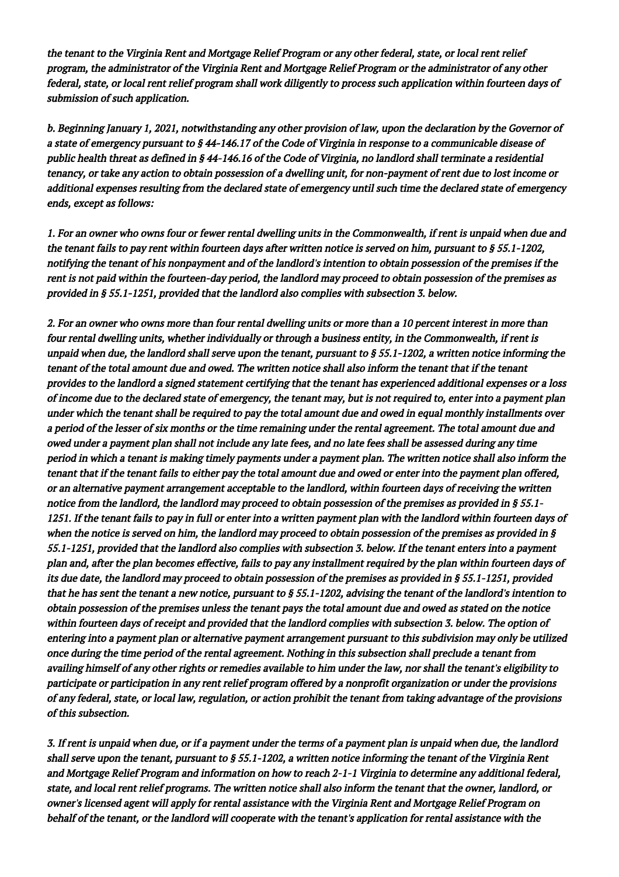the tenant to the Virginia Rent and Mortgage Relief Program or any other federal, state, or local rent relief program, the administrator of the Virginia Rent and Mortgage Relief Program or the administrator of any other federal, state, or local rent relief program shall work diligently to process such application within fourteen days of submission of such application.

b. Beginning January 1, 2021, notwithstanding any other provision of law, upon the declaration by the Governor of a state of emergency pursuant to § 44-146.17 of the Code of Virginia in response to a communicable disease of public health threat as defined in § 44-146.16 of the Code of Virginia, no landlord shall terminate a residential tenancy, or take any action to obtain possession of a dwelling unit, for non-payment of rent due to lost income or additional expenses resulting from the declared state of emergency until such time the declared state of emergency ends, except as follows:

1. For an owner who owns four or fewer rental dwelling units in the Commonwealth, if rent is unpaid when due and the tenant fails to pay rent within fourteen days after written notice is served on him, pursuant to § 55.1-1202, notifying the tenant of his nonpayment and of the landlord's intention to obtain possession of the premises if the rent is not paid within the fourteen-day period, the landlord may proceed to obtain possession of the premises as provided in § 55.1-1251, provided that the landlord also complies with subsection 3. below.

2. For an owner who owns more than four rental dwelling units or more than a 10 percent interest in more than four rental dwelling units, whether individually or through a business entity, in the Commonwealth, if rent is unpaid when due, the landlord shall serve upon the tenant, pursuant to  $\S 55.1$ -1202, a written notice informing the tenant of the total amount due and owed. The written notice shall also inform the tenant that if the tenant provides to the landlord a signed statement certifying that the tenant has experienced additional expenses or a loss of income due to the declared state of emergency, the tenant may, but is not required to, enter into a payment plan under which the tenant shall be required to pay the total amount due and owed in equal monthly installments over a period of the lesser of six months or the time remaining under the rental agreement. The total amount due and owed under a payment plan shall not include any late fees, and no late fees shall be assessed during any time period in which a tenant is making timely payments under a payment plan. The written notice shall also inform the tenant that if the tenant fails to either pay the total amount due and owed or enter into the payment plan offered, or an alternative payment arrangement acceptable to the landlord, within fourteen days of receiving the written notice from the landlord, the landlord may proceed to obtain possession of the premises as provided in § 55.1- 1251. If the tenant fails to pay in full or enter into a written payment plan with the landlord within fourteen days of when the notice is served on him, the landlord may proceed to obtain possession of the premises as provided in § 55.1-1251, provided that the landlord also complies with subsection 3. below. If the tenant enters into a payment plan and, after the plan becomes effective, fails to pay any installment required by the plan within fourteen days of its due date, the landlord may proceed to obtain possession of the premises as provided in § 55.1-1251, provided that he has sent the tenant a new notice, pursuant to  $\S 55.1$ -1202, advising the tenant of the landlord's intention to obtain possession of the premises unless the tenant pays the total amount due and owed as stated on the notice within fourteen days of receipt and provided that the landlord complies with subsection 3. below. The option of entering into a payment plan or alternative payment arrangement pursuant to this subdivision may only be utilized once during the time period of the rental agreement. Nothing in this subsection shall preclude a tenant from availing himself of any other rights or remedies available to him under the law, nor shall the tenant's eligibility to participate or participation in any rent relief program offered by a nonprofit organization or under the provisions of any federal, state, or local law, regulation, or action prohibit the tenant from taking advantage of the provisions of this subsection.

3. If rent is unpaid when due, or if a payment under the terms of a payment plan is unpaid when due, the landlord shall serve upon the tenant, pursuant to  $\S 55.1$ -1202, a written notice informing the tenant of the Virginia Rent and Mortgage Relief Program and information on how to reach 2-1-1 Virginia to determine any additional federal, state, and local rent relief programs. The written notice shall also inform the tenant that the owner, landlord, or owner's licensed agent will apply for rental assistance with the Virginia Rent and Mortgage Relief Program on behalf of the tenant, or the landlord will cooperate with the tenant's application for rental assistance with the